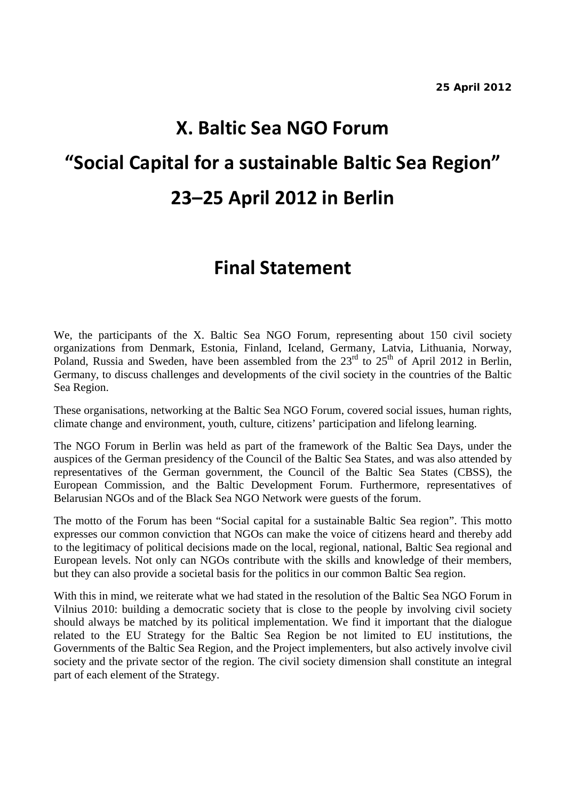# **X. Baltic Sea NGO Forum "Social Capital for a sustainable Baltic Sea Region" 23–25 April 2012 in Berlin**

# **Final Statement**

We, the participants of the X. Baltic Sea NGO Forum, representing about 150 civil society organizations from Denmark, Estonia, Finland, Iceland, Germany, Latvia, Lithuania, Norway, Poland, Russia and Sweden, have been assembled from the  $23<sup>rd</sup>$  to  $25<sup>th</sup>$  of April 2012 in Berlin, Germany, to discuss challenges and developments of the civil society in the countries of the Baltic Sea Region.

These organisations, networking at the Baltic Sea NGO Forum, covered social issues, human rights, climate change and environment, youth, culture, citizens' participation and lifelong learning.

The NGO Forum in Berlin was held as part of the framework of the Baltic Sea Days, under the auspices of the German presidency of the Council of the Baltic Sea States, and was also attended by representatives of the German government, the Council of the Baltic Sea States (CBSS), the European Commission, and the Baltic Development Forum. Furthermore, representatives of Belarusian NGOs and of the Black Sea NGO Network were guests of the forum.

The motto of the Forum has been "Social capital for a sustainable Baltic Sea region". This motto expresses our common conviction that NGOs can make the voice of citizens heard and thereby add to the legitimacy of political decisions made on the local, regional, national, Baltic Sea regional and European levels. Not only can NGOs contribute with the skills and knowledge of their members, but they can also provide a societal basis for the politics in our common Baltic Sea region.

With this in mind, we reiterate what we had stated in the resolution of the Baltic Sea NGO Forum in Vilnius 2010: building a democratic society that is close to the people by involving civil society should always be matched by its political implementation. We find it important that the dialogue related to the EU Strategy for the Baltic Sea Region be not limited to EU institutions, the Governments of the Baltic Sea Region, and the Project implementers, but also actively involve civil society and the private sector of the region. The civil society dimension shall constitute an integral part of each element of the Strategy.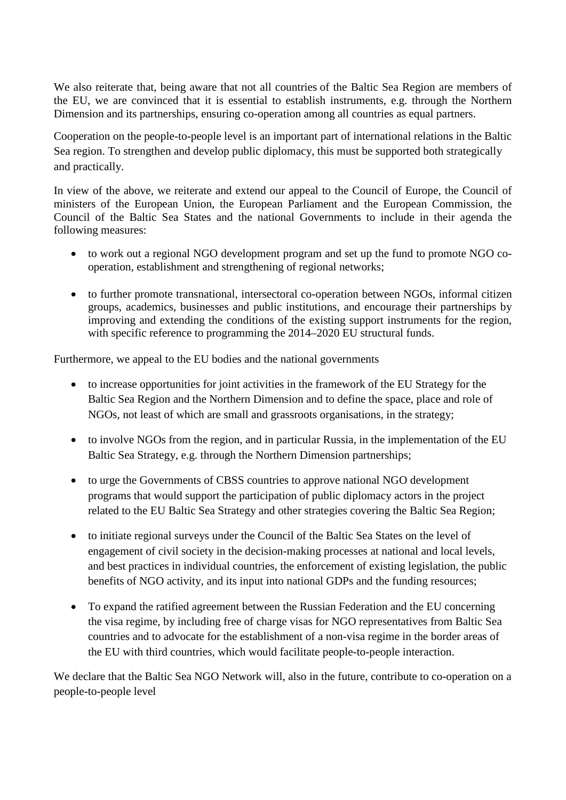We also reiterate that, being aware that not all countries of the Baltic Sea Region are members of the EU, we are convinced that it is essential to establish instruments, e.g. through the Northern Dimension and its partnerships, ensuring co-operation among all countries as equal partners.

Cooperation on the people-to-people level is an important part of international relations in the Baltic Sea region. To strengthen and develop public diplomacy, this must be supported both strategically and practically.

In view of the above, we reiterate and extend our appeal to the Council of Europe, the Council of ministers of the European Union, the European Parliament and the European Commission, the Council of the Baltic Sea States and the national Governments to include in their agenda the following measures:

- to work out a regional NGO development program and set up the fund to promote NGO cooperation, establishment and strengthening of regional networks;
- to further promote transnational, intersectoral co-operation between NGOs, informal citizen groups, academics, businesses and public institutions, and encourage their partnerships by improving and extending the conditions of the existing support instruments for the region, with specific reference to programming the 2014–2020 EU structural funds.

Furthermore, we appeal to the EU bodies and the national governments

- to increase opportunities for joint activities in the framework of the EU Strategy for the Baltic Sea Region and the Northern Dimension and to define the space, place and role of NGOs, not least of which are small and grassroots organisations, in the strategy;
- to involve NGOs from the region, and in particular Russia, in the implementation of the EU Baltic Sea Strategy, e.g. through the Northern Dimension partnerships;
- to urge the Governments of CBSS countries to approve national NGO development programs that would support the participation of public diplomacy actors in the project related to the EU Baltic Sea Strategy and other strategies covering the Baltic Sea Region;
- to initiate regional surveys under the Council of the Baltic Sea States on the level of engagement of civil society in the decision-making processes at national and local levels, and best practices in individual countries, the enforcement of existing legislation, the public benefits of NGO activity, and its input into national GDPs and the funding resources;
- To expand the ratified agreement between the Russian Federation and the EU concerning the visa regime, by including free of charge visas for NGO representatives from Baltic Sea countries and to advocate for the establishment of a non-visa regime in the border areas of the EU with third countries, which would facilitate people-to-people interaction.

We declare that the Baltic Sea NGO Network will, also in the future, contribute to co-operation on a people-to-people level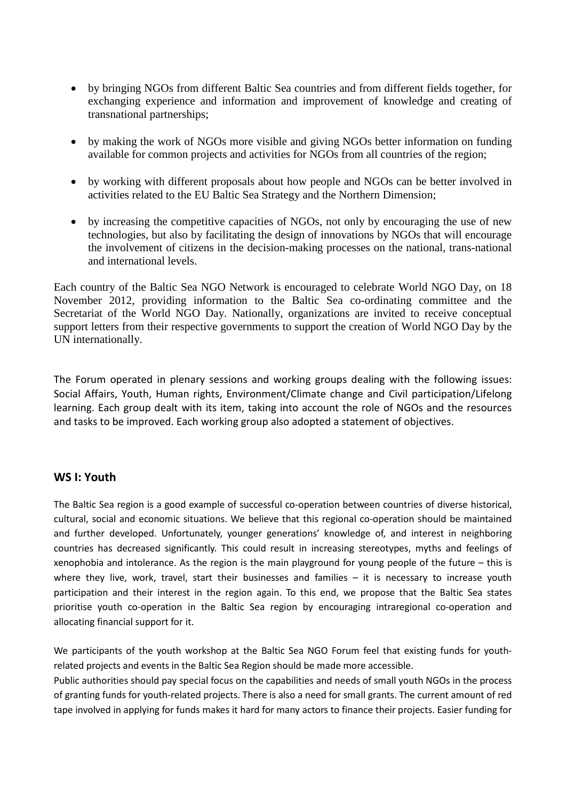- by bringing NGOs from different Baltic Sea countries and from different fields together, for exchanging experience and information and improvement of knowledge and creating of transnational partnerships;
- by making the work of NGOs more visible and giving NGOs better information on funding available for common projects and activities for NGOs from all countries of the region;
- by working with different proposals about how people and NGOs can be better involved in activities related to the EU Baltic Sea Strategy and the Northern Dimension;
- by increasing the competitive capacities of NGOs, not only by encouraging the use of new technologies, but also by facilitating the design of innovations by NGOs that will encourage the involvement of citizens in the decision-making processes on the national, trans-national and international levels.

Each country of the Baltic Sea NGO Network is encouraged to celebrate World NGO Day, on 18 November 2012, providing information to the Baltic Sea co-ordinating committee and the Secretariat of the World NGO Day. Nationally, organizations are invited to receive conceptual support letters from their respective governments to support the creation of World NGO Day by the UN internationally.

The Forum operated in plenary sessions and working groups dealing with the following issues: Social Affairs, Youth, Human rights, Environment/Climate change and Civil participation/Lifelong learning. Each group dealt with its item, taking into account the role of NGOs and the resources and tasks to be improved. Each working group also adopted a statement of objectives.

# **WS I: Youth**

The Baltic Sea region is a good example of successful co-operation between countries of diverse historical, cultural, social and economic situations. We believe that this regional co-operation should be maintained and further developed. Unfortunately, younger generations' knowledge of, and interest in neighboring countries has decreased significantly. This could result in increasing stereotypes, myths and feelings of xenophobia and intolerance. As the region is the main playground for young people of the future – this is where they live, work, travel, start their businesses and families – it is necessary to increase youth participation and their interest in the region again. To this end, we propose that the Baltic Sea states prioritise youth co-operation in the Baltic Sea region by encouraging intraregional co-operation and allocating financial support for it.

We participants of the youth workshop at the Baltic Sea NGO Forum feel that existing funds for youthrelated projects and events in the Baltic Sea Region should be made more accessible.

Public authorities should pay special focus on the capabilities and needs of small youth NGOs in the process of granting funds for youth-related projects. There is also a need for small grants. The current amount of red tape involved in applying for funds makes it hard for many actors to finance their projects. Easier funding for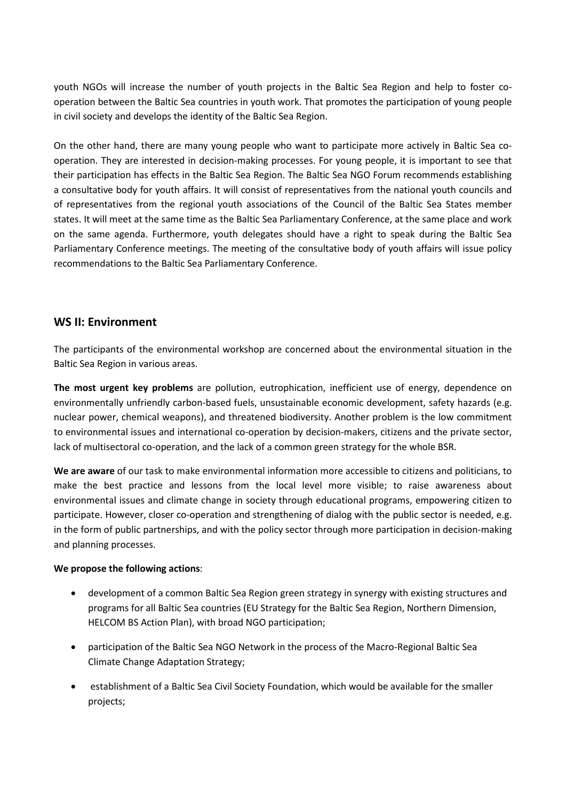youth NGOs will increase the number of youth projects in the Baltic Sea Region and help to foster cooperation between the Baltic Sea countries in youth work. That promotes the participation of young people in civil society and develops the identity of the Baltic Sea Region.

On the other hand, there are many young people who want to participate more actively in Baltic Sea cooperation. They are interested in decision-making processes. For young people, it is important to see that their participation has effects in the Baltic Sea Region. The Baltic Sea NGO Forum recommends establishing a consultative body for youth affairs. It will consist of representatives from the national youth councils and of representatives from the regional youth associations of the Council of the Baltic Sea States member states. It will meet at the same time as the Baltic Sea Parliamentary Conference, at the same place and work on the same agenda. Furthermore, youth delegates should have a right to speak during the Baltic Sea Parliamentary Conference meetings. The meeting of the consultative body of youth affairs will issue policy recommendations to the Baltic Sea Parliamentary Conference.

### **WS II: Environment**

The participants of the environmental workshop are concerned about the environmental situation in the Baltic Sea Region in various areas.

**The most urgent key problems** are pollution, eutrophication, inefficient use of energy, dependence on environmentally unfriendly carbon-based fuels, unsustainable economic development, safety hazards (e.g. nuclear power, chemical weapons), and threatened biodiversity. Another problem is the low commitment to environmental issues and international co-operation by decision-makers, citizens and the private sector, lack of multisectoral co-operation, and the lack of a common green strategy for the whole BSR.

**We are aware** of our task to make environmental information more accessible to citizens and politicians, to make the best practice and lessons from the local level more visible; to raise awareness about environmental issues and climate change in society through educational programs, empowering citizen to participate. However, closer co-operation and strengthening of dialog with the public sector is needed, e.g. in the form of public partnerships, and with the policy sector through more participation in decision-making and planning processes.

#### **We propose the following actions**:

- development of a common Baltic Sea Region green strategy in synergy with existing structures and programs for all Baltic Sea countries (EU Strategy for the Baltic Sea Region, Northern Dimension, HELCOM BS Action Plan), with broad NGO participation;
- participation of the Baltic Sea NGO Network in the process of the Macro-Regional Baltic Sea Climate Change Adaptation Strategy;
- establishment of a Baltic Sea Civil Society Foundation, which would be available for the smaller projects;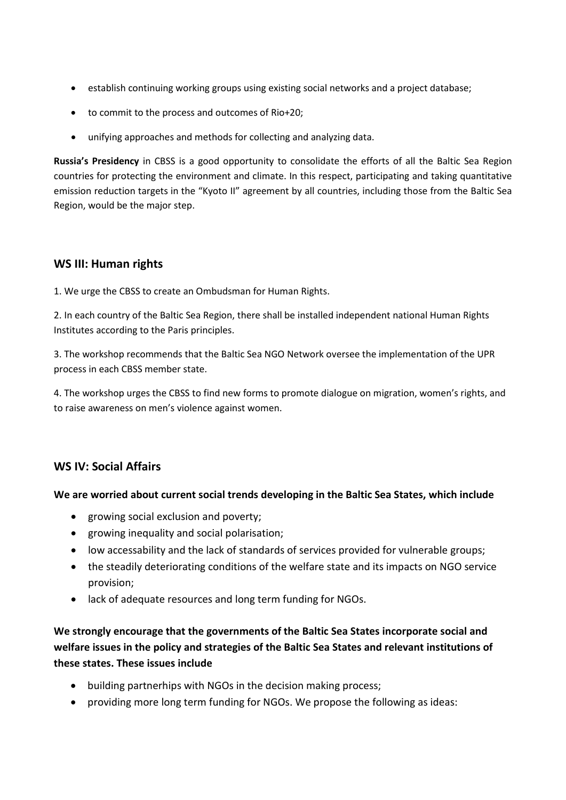- establish continuing working groups using existing social networks and a project database;
- to commit to the process and outcomes of Rio+20;
- unifying approaches and methods for collecting and analyzing data.

**Russia's Presidency** in CBSS is a good opportunity to consolidate the efforts of all the Baltic Sea Region countries for protecting the environment and climate. In this respect, participating and taking quantitative emission reduction targets in the "Kyoto II" agreement by all countries, including those from the Baltic Sea Region, would be the major step.

# **WS III: Human rights**

1. We urge the CBSS to create an Ombudsman for Human Rights.

2. In each country of the Baltic Sea Region, there shall be installed independent national Human Rights Institutes according to the Paris principles.

3. The workshop recommends that the Baltic Sea NGO Network oversee the implementation of the UPR process in each CBSS member state.

4. The workshop urges the CBSS to find new forms to promote dialogue on migration, women's rights, and to raise awareness on men's violence against women.

# **WS IV: Social Affairs**

#### **We are worried about current social trends developing in the Baltic Sea States, which include**

- growing social exclusion and poverty;
- growing inequality and social polarisation;
- low accessability and the lack of standards of services provided for vulnerable groups;
- the steadily deteriorating conditions of the welfare state and its impacts on NGO service provision;
- lack of adequate resources and long term funding for NGOs.

**We strongly encourage that the governments of the Baltic Sea States incorporate social and welfare issues in the policy and strategies of the Baltic Sea States and relevant institutions of these states. These issues include**

- building partnerhips with NGOs in the decision making process;
- providing more long term funding for NGOs. We propose the following as ideas: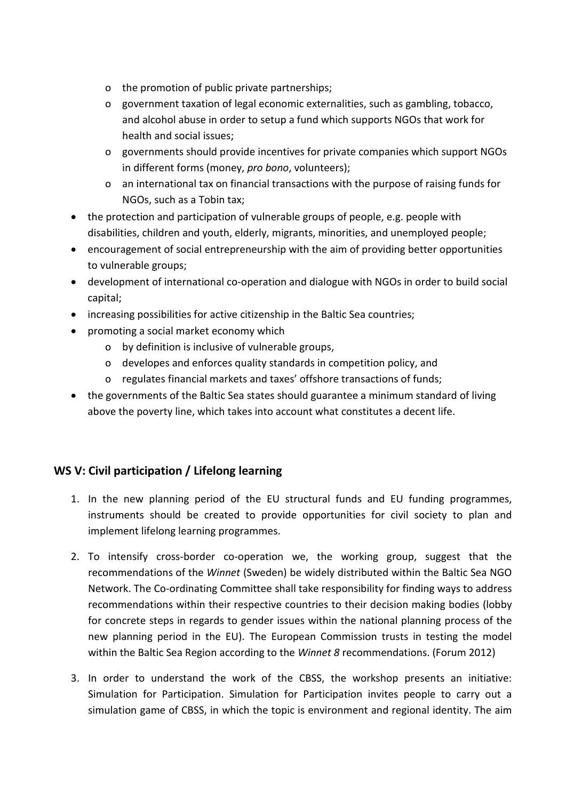- o the promotion of public private partnerships;
- o government taxation of legal economic externalities, such as gambling, tobacco, and alcohol abuse in order to setup a fund which supports NGOs that work for health and social issues;
- o governments should provide incentives for private companies which support NGOs in different forms (money, *pro bono*, volunteers);
- o an international tax on financial transactions with the purpose of raising funds for NGOs, such as a Tobin tax;
- the protection and participation of vulnerable groups of people, e.g. people with disabilities, children and youth, elderly, migrants, minorities, and unemployed people;
- encouragement of social entrepreneurship with the aim of providing better opportunities to vulnerable groups;
- development of international co-operation and dialogue with NGOs in order to build social capital;
- increasing possibilities for active citizenship in the Baltic Sea countries;
- promoting a social market economy which
	- o by definition is inclusive of vulnerable groups,
	- o developes and enforces quality standards in competition policy, and
	- o regulates financial markets and taxes' offshore transactions of funds;
- the governments of the Baltic Sea states should guarantee a minimum standard of living above the poverty line, which takes into account what constitutes a decent life.

# **WS V: Civil participation / Lifelong learning**

- 1. In the new planning period of the EU structural funds and EU funding programmes, instruments should be created to provide opportunities for civil society to plan and implement lifelong learning programmes.
- 2. To intensify cross-border co-operation we, the working group, suggest that the recommendations of the *Winnet* (Sweden) be widely distributed within the Baltic Sea NGO Network. The Co-ordinating Committee shall take responsibility for finding ways to address recommendations within their respective countries to their decision making bodies (lobby for concrete steps in regards to gender issues within the national planning process of the new planning period in the EU). The European Commission trusts in testing the model within the Baltic Sea Region according to the *Winnet 8* recommendations. (Forum 2012)
- 3. In order to understand the work of the CBSS, the workshop presents an initiative: Simulation for Participation. Simulation for Participation invites people to carry out a simulation game of CBSS, in which the topic is environment and regional identity. The aim